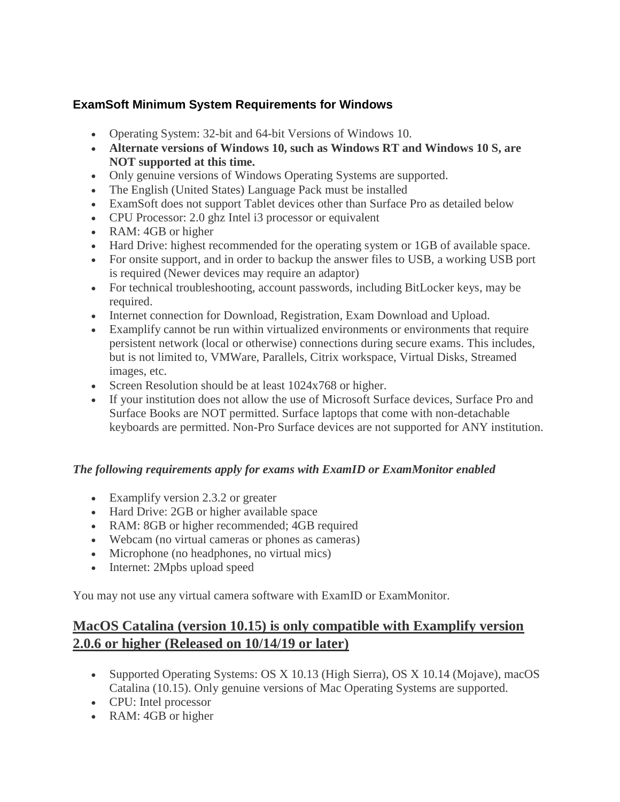## **ExamSoft Minimum System Requirements for Windows**

- Operating System: 32-bit and 64-bit Versions of Windows 10.
- **Alternate versions of Windows 10, such as Windows RT and Windows 10 S, are NOT supported at this time.**
- Only genuine versions of Windows Operating Systems are supported.
- The English (United States) Language Pack must be installed
- ExamSoft does not support Tablet devices other than Surface Pro as detailed below
- CPU Processor: 2.0 ghz Intel i3 processor or equivalent
- RAM: 4GB or higher
- Hard Drive: highest recommended for the operating system or 1GB of available space.
- For onsite support, and in order to backup the answer files to USB, a working USB port is required (Newer devices may require an adaptor)
- For technical troubleshooting, account passwords, including BitLocker keys, may be required.
- Internet connection for Download, Registration, Exam Download and Upload.
- Examplify cannot be run within virtualized environments or environments that require persistent network (local or otherwise) connections during secure exams. This includes, but is not limited to, VMWare, Parallels, Citrix workspace, Virtual Disks, Streamed images, etc.
- Screen Resolution should be at least  $1024x768$  or higher.
- If your institution does not allow the use of Microsoft Surface devices, Surface Pro and Surface Books are NOT permitted. Surface laptops that come with non-detachable keyboards are permitted. Non-Pro Surface devices are not supported for ANY institution.

### *The following requirements apply for exams with ExamID or ExamMonitor enabled*

- Examplify version 2.3.2 or greater
- Hard Drive: 2GB or higher available space
- RAM: 8GB or higher recommended; 4GB required
- Webcam (no virtual cameras or phones as cameras)
- Microphone (no headphones, no virtual mics)
- Internet: 2Mpbs upload speed

You may not use any virtual camera software with ExamID or ExamMonitor.

# **MacOS Catalina (version 10.15) is only compatible with Examplify version 2.0.6 or higher (Released on 10/14/19 or later)**

- Supported Operating Systems: OS X 10.13 (High Sierra), OS X 10.14 (Mojave), macOS Catalina (10.15). Only genuine versions of Mac Operating Systems are supported.
- CPU: Intel processor
- RAM: 4GB or higher